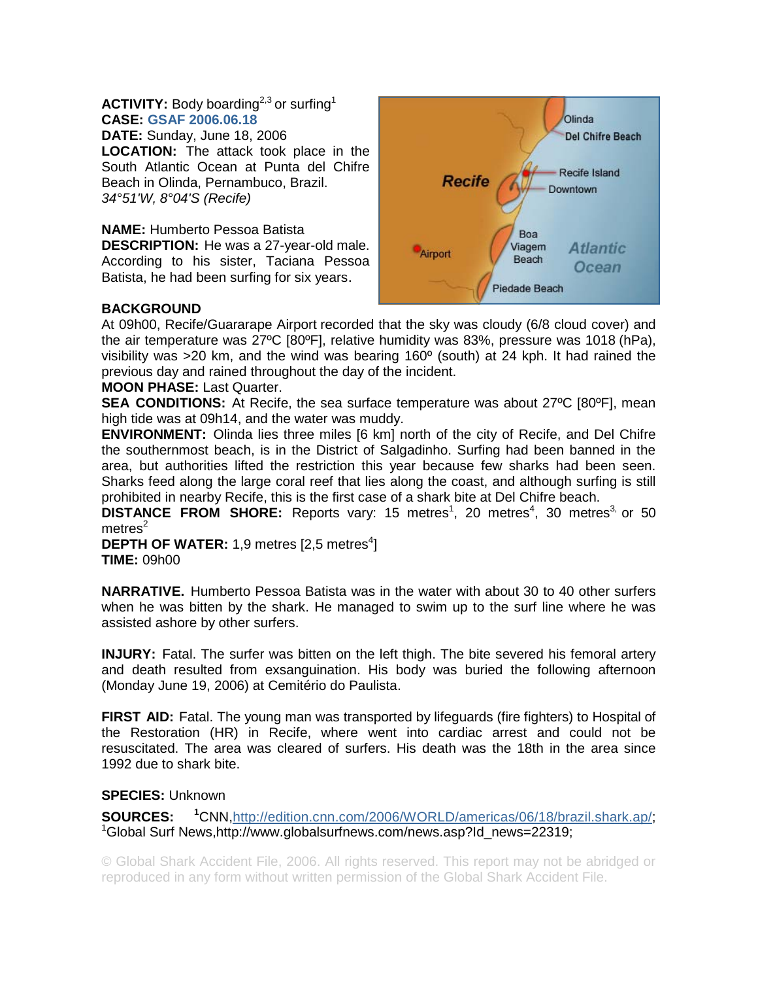## **ACTIVITY:** Body boarding<sup>2,3</sup> or surfing<sup>1</sup> **CASE: GSAF 2006.06.18**

**DATE:** Sunday, June 18, 2006 **LOCATION:** The attack took place in the South Atlantic Ocean at Punta del Chifre Beach in Olinda, Pernambuco, Brazil. *34°51'W, 8°04'S (Recife)* 

**NAME:** Humberto Pessoa Batista **DESCRIPTION:** He was a 27-year-old male. According to his sister, Taciana Pessoa Batista, he had been surfing for six years.



## **BACKGROUND**

At 09h00, Recife/Guararape Airport recorded that the sky was cloudy (6/8 cloud cover) and the air temperature was 27ºC [80ºF], relative humidity was 83%, pressure was 1018 (hPa), visibility was >20 km, and the wind was bearing 160º (south) at 24 kph. It had rained the previous day and rained throughout the day of the incident.

## **MOON PHASE:** Last Quarter.

**SEA CONDITIONS:** At Recife, the sea surface temperature was about 27°C [80°F], mean high tide was at 09h14, and the water was muddy.

**ENVIRONMENT:** Olinda lies three miles [6 km] north of the city of Recife, and Del Chifre the southernmost beach, is in the District of Salgadinho. Surfing had been banned in the area, but authorities lifted the restriction this year because few sharks had been seen. Sharks feed along the large coral reef that lies along the coast, and although surfing is still prohibited in nearby Recife, this is the first case of a shark bite at Del Chifre beach.

**DISTANCE FROM SHORE:** Reports vary: 15 metres<sup>1</sup>, 20 metres<sup>4</sup>, 30 metres<sup>3,</sup> or 50  $meters<sup>2</sup>$ 

**DEPTH OF WATER:** 1,9 metres  $[2,5 \text{ metres}^4]$ **TIME:** 09h00

**NARRATIVE.** Humberto Pessoa Batista was in the water with about 30 to 40 other surfers when he was bitten by the shark. He managed to swim up to the surf line where he was assisted ashore by other surfers.

**INJURY:** Fatal. The surfer was bitten on the left thigh. The bite severed his femoral artery and death resulted from exsanguination. His body was buried the following afternoon (Monday June 19, 2006) at Cemitério do Paulista.

**FIRST AID:** Fatal. The young man was transported by lifeguards (fire fighters) to Hospital of the Restoration (HR) in Recife, where went into cardiac arrest and could not be resuscitated. The area was cleared of surfers. His death was the 18th in the area since 1992 due to shark bite.

## **SPECIES:** Unknown

**SOURCES: <sup>1</sup>** CNN,http://edition.cnn.com/2006/WORLD/americas/06/18/brazil.shark.ap/; <sup>1</sup>Global Surf News,http://www.globalsurfnews.com/news.asp?Id\_news=22319;

© Global Shark Accident File, 2006. All rights reserved. This report may not be abridged or reproduced in any form without written permission of the Global Shark Accident File.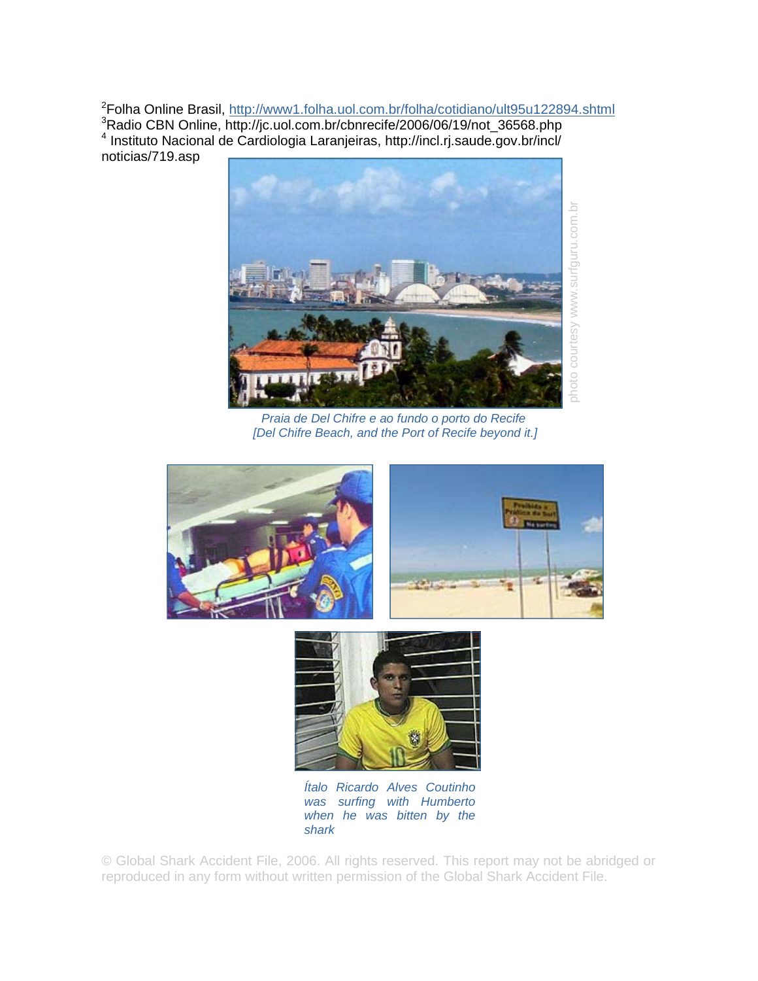<sup>2</sup>Folha Online Brasil, http://www1.folha.uol.com.br/folha/cotidiano/ult95u122894.shtml 3 Radio CBN Online, http://jc.uol.com.br/cbnrecife/2006/06/19/not\_36568.php 4 Instituto Nacional de Cardiologia Laranjeiras, http://incl.rj.saude.gov.br/incl/ noticias/719.asp



*Praia de Del Chifre e ao fundo o porto do Recife [Del Chifre Beach, and the Port of Recife beyond it.]*





*Ítalo Ricardo Alves Coutinho was surfing with Humberto when he was bitten by the shark* 

© Global Shark Accident File, 2006. All rights reserved. This report may not be abridged or reproduced in any form without written permission of the Global Shark Accident File.